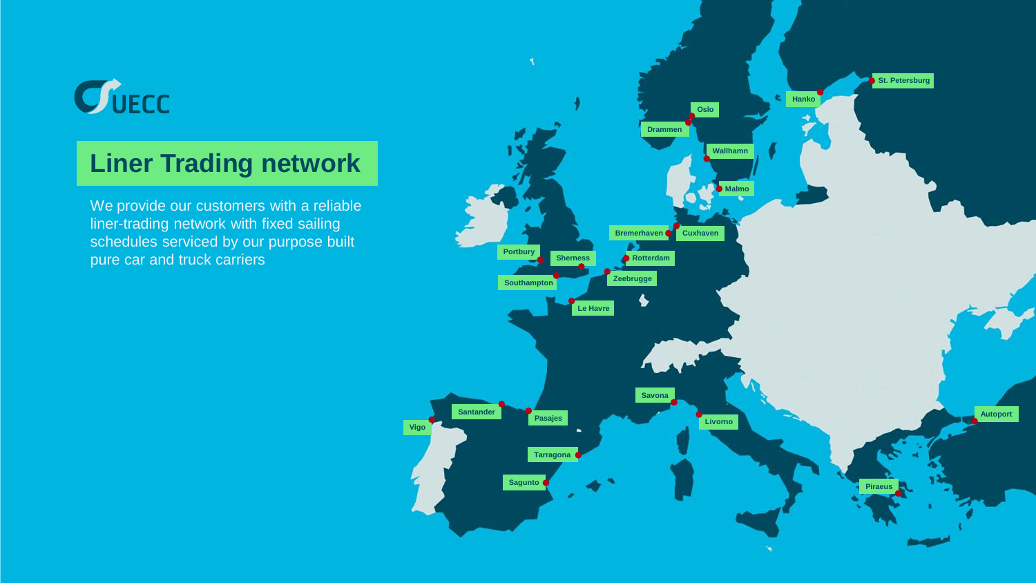# $C$ UECC

#### **Liner Trading network**

We provide our customers with a reliable liner-trading network with fixed sailing schedules serviced by our purpose built pure car and truck carriers

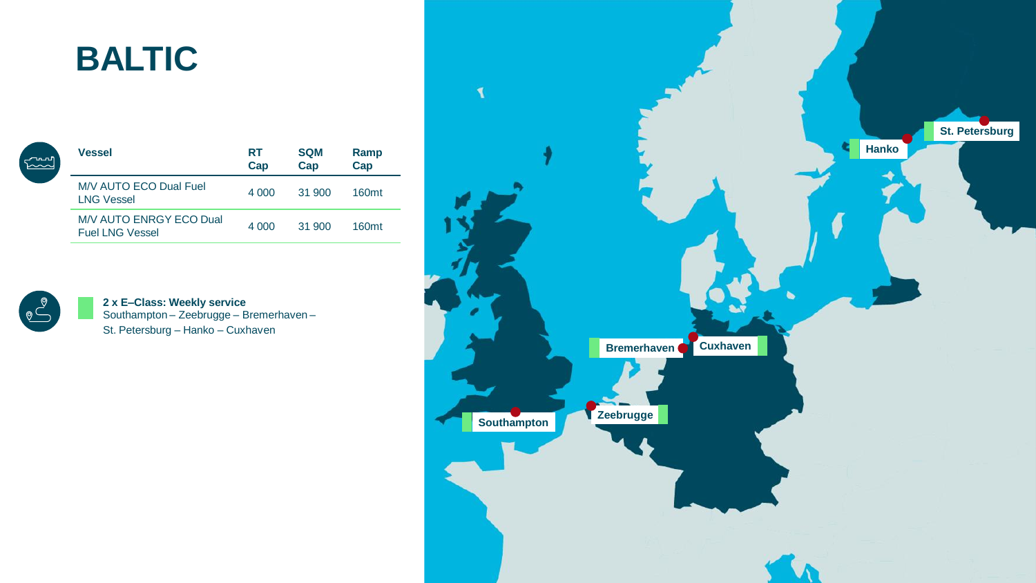### **BALTIC**

| പ്പസ | <b>Vessel</b>                                            | RT<br>Cap | <b>SQM</b><br>Cap | Ramp<br>Cap       |
|------|----------------------------------------------------------|-----------|-------------------|-------------------|
|      | M/V AUTO ECO Dual Fuel<br><b>LNG Vessel</b>              | 4 0 0 0   | 31 900            | 160 <sub>mt</sub> |
|      | <b>M/V AUTO ENRGY ECO Dual</b><br><b>Fuel LNG Vessel</b> | 4 0 0 0   | 31 900            | 160 <sub>mt</sub> |



**2 x E–Class: Weekly service**  Southampton – Zeebrugge – Bremerhaven – St. Petersburg – Hanko – Cuxhaven

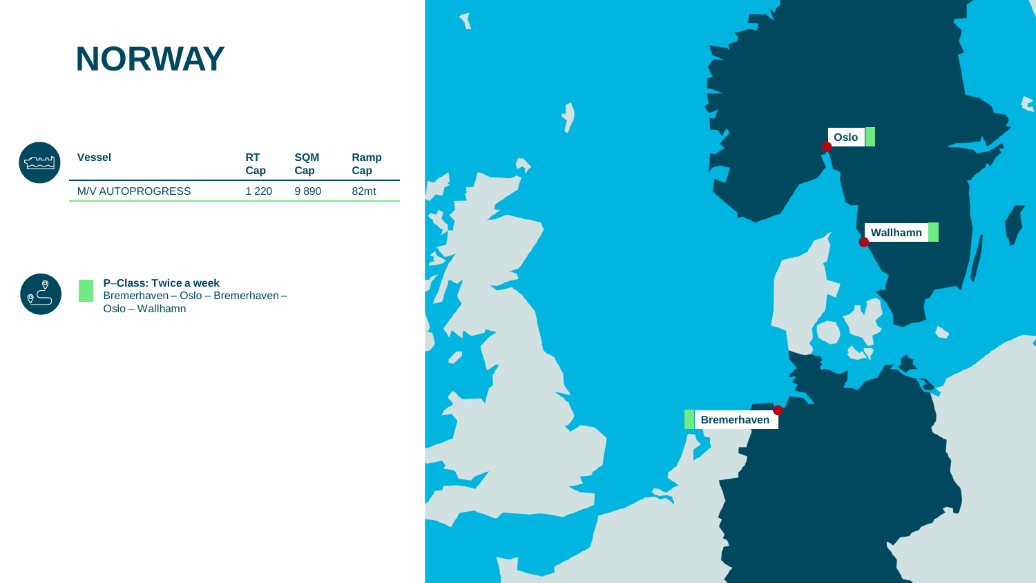#### **NORWAY**

| <b>Find</b> | <b>Vessel</b>           | <b>RT</b><br>Cap | <b>SQM</b><br>Cap | Ramp<br>Cap      |
|-------------|-------------------------|------------------|-------------------|------------------|
|             | <b>M/V AUTOPROGRESS</b> | 1 220            | 9890              | 82 <sub>mt</sub> |



**P**–**Class: Twice a week** Bremerhaven – Oslo – Bremerhaven – Oslo – Wallhamn

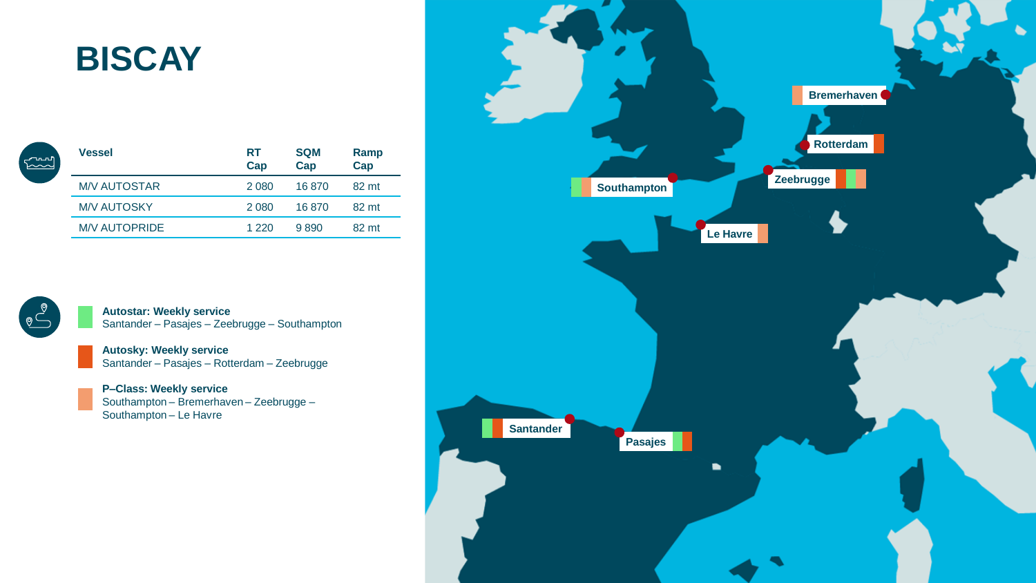#### **BISCAY**

| run<br>Kond | <b>Vessel</b>        | <b>RT</b><br>Cap | <b>SQM</b><br>Cap | Ramp<br>Cap |
|-------------|----------------------|------------------|-------------------|-------------|
|             | <b>M/V AUTOSTAR</b>  | 2 0 8 0          | 16870             | 82 mt       |
|             | <b>M/V AUTOSKY</b>   | 2 0 8 0          | 16870             | 82 mt       |
|             | <b>M/V AUTOPRIDE</b> | 1 2 2 0          | 9890              | 82 mt       |



**Autostar: Weekly service** Santander – Pasajes – Zeebrugge – Southampton

**Autosky: Weekly service** Santander – Pasajes – Rotterdam – Zeebrugge

**P–Class: Weekly service** Southampton – Bremerhaven – Zeebrugge – Southampton – Le Havre

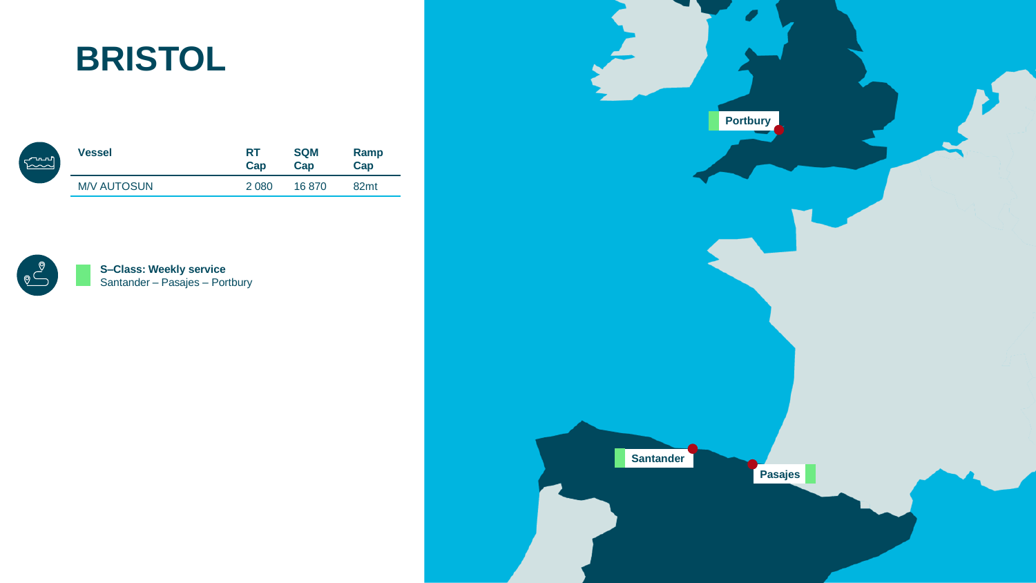#### **BRISTOL**

| ഺ൸       | <b>Vessel</b>      | <b>RT</b> | <b>SQM</b> | Ramp             |
|----------|--------------------|-----------|------------|------------------|
| $\sim$ ~ |                    | Cap       | Cap        | Cap              |
|          | <b>M/V AUTOSUN</b> | 2 0 8 0   | 16 870     | 82 <sub>mt</sub> |



**S–Class: Weekly service** Santander – Pasajes – Portbury

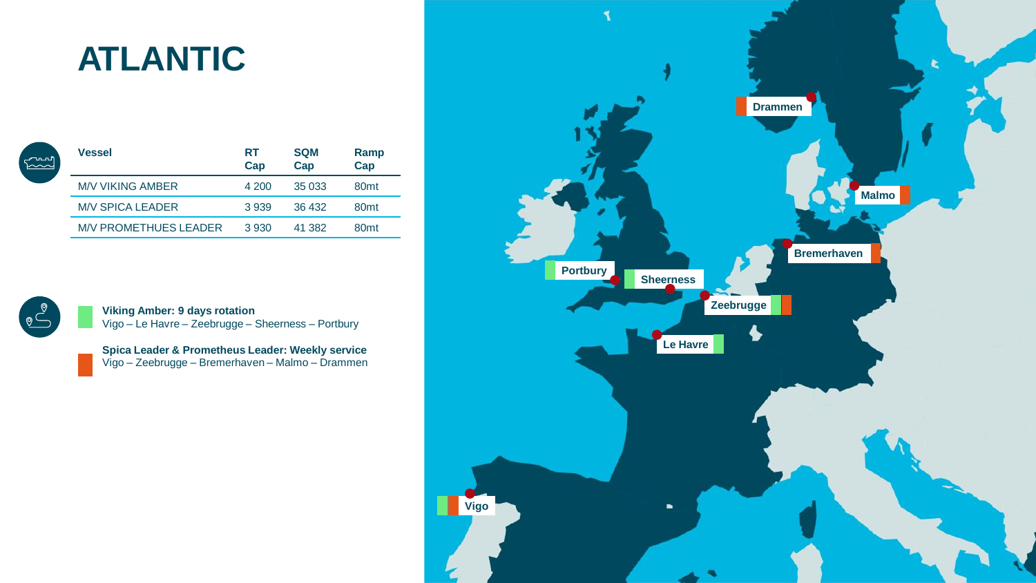## **ATLANTIC**

| <b>Vessel</b>                | RT<br>Cap | <b>SQM</b><br>Cap | Ramp<br>Cap      |
|------------------------------|-----------|-------------------|------------------|
| M/V VIKING AMBER             | 4 200     | 35 033            | 80 <sub>mt</sub> |
| <b>M/V SPICA LEADER</b>      | 3939      | 36 432            | 80 <sub>mt</sub> |
| <b>M/V PROMETHUES LEADER</b> | 3 9 3 0   | 41 382            | 80 <sub>mt</sub> |



 $\begin{bmatrix} 1 & 0 & 0 \\ 0 & 0 & 0 \\ 0 & 0 & 0 \\ 0 & 0 & 0 \\ 0 & 0 & 0 \\ 0 & 0 & 0 \\ 0 & 0 & 0 \\ 0 & 0 & 0 \\ 0 & 0 & 0 \\ 0 & 0 & 0 & 0 \\ 0 & 0 & 0 & 0 \\ 0 & 0 & 0 & 0 \\ 0 & 0 & 0 & 0 \\ 0 & 0 & 0 & 0 & 0 \\ 0 & 0 & 0 & 0 & 0 \\ 0 & 0 & 0 & 0 & 0 \\ 0 & 0 & 0 & 0 & 0 & 0 \\ 0 & 0 & 0 & 0 & 0 & 0 \\ 0 &$ 

**Viking Amber: 9 days rotation** Vigo – Le Havre – Zeebrugge – Sheerness – Portbury

**Spica Leader & Prometheus Leader: Weekly service**  Vigo – Zeebrugge – Bremerhaven – Malmo – Drammen